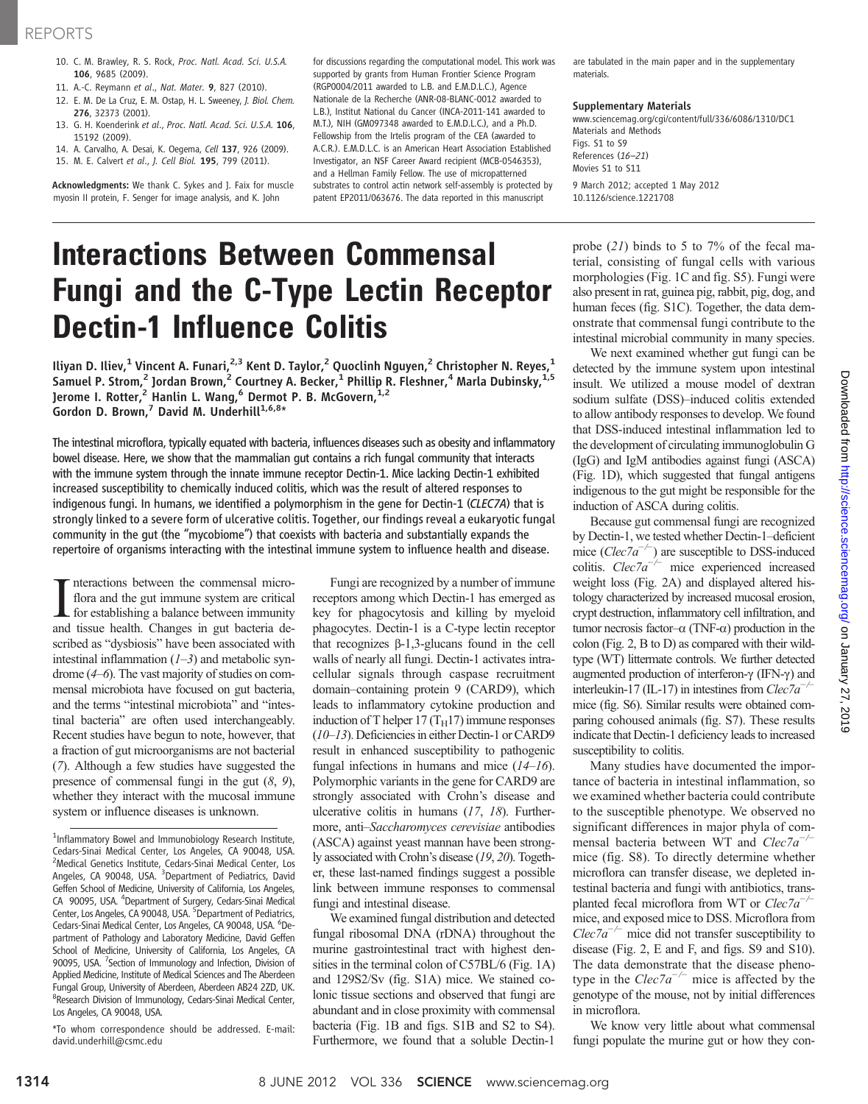- 10. C. M. Brawley, R. S. Rock, Proc. Natl. Acad. Sci. U.S.A. 106, 9685 (2009).
- 11. A.-C. Reymann et al., Nat. Mater. 9, 827 (2010).
- 12. E. M. De La Cruz, E. M. Ostap, H. L. Sweeney, J. Biol. Chem.
- 276, 32373 (2001). 13. G. H. Koenderink et al., Proc. Natl. Acad. Sci. U.S.A. 106, 15192 (2009).
- 14. A. Carvalho, A. Desai, K. Oegema, Cell 137, 926 (2009).
- 15. M. E. Calvert et al., J. Cell Biol. 195, 799 (2011).

Acknowledgments: We thank C. Sykes and J. Faix for muscle myosin II protein, F. Senger for image analysis, and K. John

for discussions regarding the computational model. This work was supported by grants from Human Frontier Science Program (RGP0004/2011 awarded to L.B. and E.M.D.L.C.), Agence Nationale de la Recherche (ANR-08-BLANC-0012 awarded to L.B.), Institut National du Cancer (INCA-2011-141 awarded to M.T.), NIH (GM097348 awarded to E.M.D.L.C.), and a Ph.D. Fellowship from the Irtelis program of the CEA (awarded to A.C.R.). E.M.D.L.C. is an American Heart Association Established Investigator, an NSF Career Award recipient (MCB-0546353), and a Hellman Family Fellow. The use of micropatterned substrates to control actin network self-assembly is protected by patent EP2011/063676. The data reported in this manuscript

# Interactions Between Commensal Fungi and the C-Type Lectin Receptor Dectin-1 Influence Colitis

Iliyan D. Iliev,<sup>1</sup> Vincent A. Funari,<sup>2,3</sup> Kent D. Taylor,<sup>2</sup> Quoclinh Nguyen,<sup>2</sup> Christopher N. Reyes,<sup>1</sup> Samuel P. Strom,<sup>2</sup> Jordan Brown,<sup>2</sup> Courtney A. Becker,<sup>1</sup> Phillip R. Fleshner,<sup>4</sup> Marla Dubinsky,<sup>1,5</sup> Jerome I. Rotter,<sup>2</sup> Hanlin L. Wang,<sup>6</sup> Dermot P. B. McGovern,<sup>1,2</sup> Gordon D. Brown, $^7$  David M. Underhill $^{1,6,8*}$ 

The intestinal microflora, typically equated with bacteria, influences diseases such as obesity and inflammatory bowel disease. Here, we show that the mammalian gut contains a rich fungal community that interacts with the immune system through the innate immune receptor Dectin-1. Mice lacking Dectin-1 exhibited increased susceptibility to chemically induced colitis, which was the result of altered responses to indigenous fungi. In humans, we identified a polymorphism in the gene for Dectin-1 (CLEC7A) that is strongly linked to a severe form of ulcerative colitis. Together, our findings reveal a eukaryotic fungal community in the gut (the "mycobiome") that coexists with bacteria and substantially expands the repertoire of organisms interacting with the intestinal immune system to influence health and disease.

Interactions between the commensal micro-<br>flora and the gut immune system are critical<br>for establishing a balance between immunity<br>and tissue health. Changes in gut bacteria denteractions between the commensal microflora and the gut immune system are critical for establishing a balance between immunity scribed as "dysbiosis" have been associated with intestinal inflammation  $(1-3)$  and metabolic syndrome (4–6). The vast majority of studies on commensal microbiota have focused on gut bacteria, and the terms "intestinal microbiota" and "intestinal bacteria" are often used interchangeably. Recent studies have begun to note, however, that a fraction of gut microorganisms are not bacterial (7). Although a few studies have suggested the presence of commensal fungi in the gut  $(8, 9)$ , whether they interact with the mucosal immune system or influence diseases is unknown.

Fungi are recognized by a number of immune receptors among which Dectin-1 has emerged as key for phagocytosis and killing by myeloid phagocytes. Dectin-1 is a C-type lectin receptor that recognizes  $\beta$ -1,3-glucans found in the cell walls of nearly all fungi. Dectin-1 activates intracellular signals through caspase recruitment domain–containing protein 9 (CARD9), which leads to inflammatory cytokine production and induction of T helper 17 ( $T_H$ 17) immune responses (10–13). Deficiencies in either Dectin-1 or CARD9 result in enhanced susceptibility to pathogenic fungal infections in humans and mice  $(14-16)$ . Polymorphic variants in the gene for CARD9 are strongly associated with Crohn's disease and ulcerative colitis in humans (17, 18). Furthermore, anti–Saccharomyces cerevisiae antibodies (ASCA) against yeast mannan have been strongly associated with Crohn's disease (19, 20). Together, these last-named findings suggest a possible link between immune responses to commensal fungi and intestinal disease.

We examined fungal distribution and detected fungal ribosomal DNA (rDNA) throughout the murine gastrointestinal tract with highest densities in the terminal colon of C57BL/6 (Fig. 1A) and 129S2/Sv (fig. S1A) mice. We stained colonic tissue sections and observed that fungi are abundant and in close proximity with commensal bacteria (Fig. 1B and figs. S1B and S2 to S4). Furthermore, we found that a soluble Dectin-1

are tabulated in the main paper and in the supplementary materials.

#### Supplementary Materials

www.sciencemag.org/cgi/content/full/336/6086/1310/DC1 Materials and Methods Figs. S1 to S9 References (16–21) Movies S1 to S11 9 March 2012; accepted 1 May 2012

10.1126/science.1221708

probe (21) binds to 5 to 7% of the fecal material, consisting of fungal cells with various morphologies (Fig. 1C and fig. S5). Fungi were also present in rat, guinea pig, rabbit, pig, dog, and human feces (fig. S1C). Together, the data demonstrate that commensal fungi contribute to the intestinal microbial community in many species.

We next examined whether gut fungi can be detected by the immune system upon intestinal insult. We utilized a mouse model of dextran sodium sulfate (DSS)–induced colitis extended to allow antibody responses to develop. We found that DSS-induced intestinal inflammation led to the development of circulating immunoglobulin G (IgG) and IgM antibodies against fungi (ASCA) (Fig. 1D), which suggested that fungal antigens indigenous to the gut might be responsible for the induction of ASCA during colitis.

Because gut commensal fungi are recognized by Dectin-1, we tested whether Dectin-1–deficient mice ( $Clec7a^{-/-}$ ) are susceptible to DSS-induced colitis.  $Clec7a^{-/-}$  mice experienced increased weight loss (Fig. 2A) and displayed altered histology characterized by increased mucosal erosion, crypt destruction, inflammatory cell infiltration, and tumor necrosis factor– $\alpha$  (TNF- $\alpha$ ) production in the colon (Fig. 2, B to D) as compared with their wildtype (WT) littermate controls. We further detected augmented production of interferon- $\gamma$  (IFN- $\gamma$ ) and interleukin-17 (IL-17) in intestines from  $Clec7a^{-7}$ mice (fig. S6). Similar results were obtained comparing cohoused animals (fig. S7). These results indicate that Dectin-1 deficiency leads to increased susceptibility to colitis.

Many studies have documented the importance of bacteria in intestinal inflammation, so we examined whether bacteria could contribute to the susceptible phenotype. We observed no significant differences in major phyla of commensal bacteria between WT and  $Clec7a^{-1}$ mice (fig. S8). To directly determine whether microflora can transfer disease, we depleted intestinal bacteria and fungi with antibiotics, transplanted fecal microflora from WT or Clec7a<sup>-</sup> mice, and exposed mice to DSS. Microflora from  $Clec7a^{-/-}$  mice did not transfer susceptibility to disease (Fig. 2, E and F, and figs. S9 and S10). The data demonstrate that the disease phenotype in the  $Clec7a^{-/-}$  mice is affected by the genotype of the mouse, not by initial differences in microflora.

We know very little about what commensal fungi populate the murine gut or how they con-

<sup>&</sup>lt;sup>1</sup>Inflammatory Bowel and Immunobiology Research Institute, Cedars-Sinai Medical Center, Los Angeles, CA 90048, USA. <sup>2</sup>Medical Genetics Institute, Cedars-Sinai Medical Center, Los Angeles, CA 90048, USA. <sup>3</sup>Department of Pediatrics, David Geffen School of Medicine, University of California, Los Angeles, CA 90095, USA. <sup>4</sup>Department of Surgery, Cedars-Sinai Medical Center, Los Angeles, CA 90048, USA. <sup>5</sup> Department of Pediatrics, Cedars-Sinai Medical Center, Los Angeles, CA 90048, USA. <sup>6</sup>Department of Pathology and Laboratory Medicine, David Geffen School of Medicine, University of California, Los Angeles, CA 90095, USA. <sup>7</sup>Section of Immunology and Infection, Division of Applied Medicine, Institute of Medical Sciences and The Aberdeen Fungal Group, University of Aberdeen, Aberdeen AB24 2ZD, UK. <sup>8</sup>Research Division of Immunology, Cedars-Sinai Medical Center, Los Angeles, CA 90048, USA.

<sup>\*</sup>To whom correspondence should be addressed. E-mail: david.underhill@csmc.edu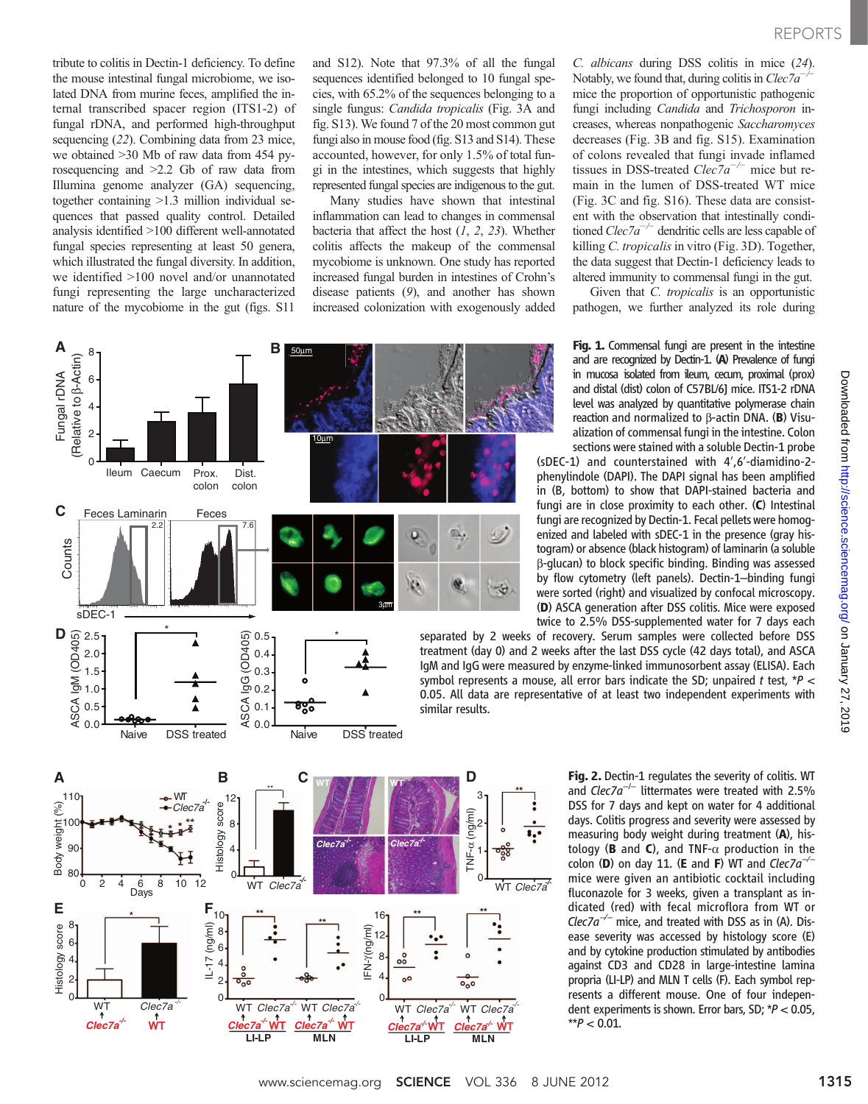tribute to colitis in Dectin-1 deficiency. To define the mouse intestinal fungal microbiome, we isolated DNA from murine feces, amplified the internal transcribed spacer region (ITS1-2) of fungal rDNA, and performed high-throughput sequencing (22). Combining data from 23 mice, we obtained >30 Mb of raw data from 454 pyrosequencing and >2.2 Gb of raw data from Illumina genome analyzer (GA) sequencing, together containing >1.3 million individual sequences that passed quality control. Detailed analysis identified >100 different well-annotated fungal species representing at least 50 genera, which illustrated the fungal diversity. In addition, we identified >100 novel and/or unannotated fungi representing the large uncharacterized nature of the mycobiome in the gut (figs. S11

Naive DSS treated

Body weight (%)

Body

 $(%)$ 

Histology score

Histology score

and S12). Note that 97.3% of all the fungal sequences identified belonged to 10 fungal species, with 65.2% of the sequences belonging to a single fungus: Candida tropicalis (Fig. 3A and fig. S13). We found 7 of the 20 most common gut fungi also in mouse food (fig. S13 and S14). These accounted, however, for only 1.5% of total fungi in the intestines, which suggests that highly represented fungal species are indigenous to the gut.

Many studies have shown that intestinal inflammation can lead to changes in commensal bacteria that affect the host  $(1, 2, 23)$ . Whether colitis affects the makeup of the commensal mycobiome is unknown. One study has reported increased fungal burden in intestines of Crohn's disease patients (9), and another has shown increased colonization with exogenously added



C. albicans during DSS colitis in mice (24). Notably, we found that, during colitis in Clec7a<sup>-</sup> mice the proportion of opportunistic pathogenic fungi including Candida and Trichosporon increases, whereas nonpathogenic Saccharomyces decreases (Fig. 3B and fig. S15). Examination of colons revealed that fungi invade inflamed tissues in DSS-treated  $Clec7a^{-/-}$  mice but remain in the lumen of DSS-treated WT mice (Fig. 3C and fig. S16). These data are consistent with the observation that intestinally conditioned  $Clec7a^{-/-}$  dendritic cells are less capable of killing C. tropicalis in vitro (Fig. 3D). Together, the data suggest that Dectin-1 deficiency leads to altered immunity to commensal fungi in the gut.

Given that *C. tropicalis* is an opportunistic pathogen, we further analyzed its role during

Fig. 1. Commensal fungi are present in the intestine and are recognized by Dectin-1. (A) Prevalence of fungi in mucosa isolated from ileum, cecum, proximal (prox) and distal (dist) colon of C57BL/6J mice. ITS1-2 rDNA level was analyzed by quantitative polymerase chain reaction and normalized to  $\beta$ -actin DNA. (B) Visualization of commensal fungi in the intestine. Colon sections were stained with a soluble Dectin-1 probe

(sDEC-1) and counterstained with 4′,6′-diamidino-2 phenylindole (DAPI). The DAPI signal has been amplified in (B, bottom) to show that DAPI-stained bacteria and fungi are in close proximity to each other. (C) Intestinal fungi are recognized by Dectin-1. Fecal pellets were homogenized and labeled with sDEC-1 in the presence (gray histogram) or absence (black histogram) of laminarin (a soluble b-glucan) to block specific binding. Binding was assessed by flow cytometry (left panels). Dectin-1–binding fungi were sorted (right) and visualized by confocal microscopy. (D) ASCA generation after DSS colitis. Mice were exposed twice to 2.5% DSS-supplemented water for 7 days each

separated by 2 weeks of recovery. Serum samples were collected before DSS treatment (day 0) and 2 weeks after the last DSS cycle (42 days total), and ASCA IgM and IgG were measured by enzyme-linked immunosorbent assay (ELISA). Each symbol represents a mouse, all error bars indicate the SD; unpaired t test,  $*P$  < 0.05. All data are representative of at least two independent experiments with



Fig. 2. Dectin-1 regulates the severity of colitis. WT and  $Clec7a^{-/-}$  littermates were treated with 2.5% DSS for 7 days and kept on water for 4 additional days. Colitis progress and severity were assessed by measuring body weight during treatment (A), histology (**B** and **C**), and TNF- $\alpha$  production in the colon (D) on day 11. (E and F) WT and  $Clec7a^{-1}$ mice were given an antibiotic cocktail including fluconazole for 3 weeks, given a transplant as indicated (red) with fecal microflora from WT or Clec7a<sup> $-/-$ </sup> mice, and treated with DSS as in (A). Disease severity was accessed by histology score (E) and by cytokine production stimulated by antibodies against CD3 and CD28 in large-intestine lamina propria (LI-LP) and MLN T cells (F). Each symbol represents a different mouse. One of four independent experiments is shown. Error bars, SD; \*P < 0.05,  $*$ *\** $P$  < 0.01.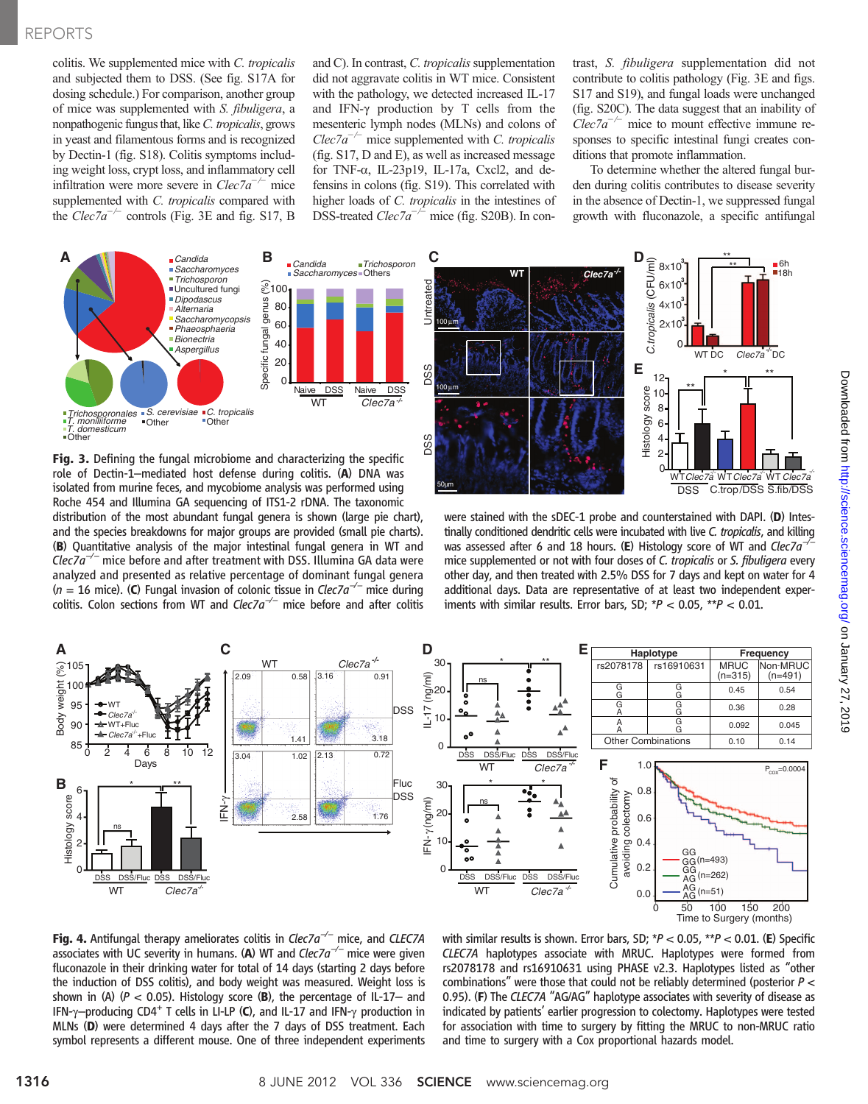colitis. We supplemented mice with C. tropicalis and subjected them to DSS. (See fig. S17A for dosing schedule.) For comparison, another group of mice was supplemented with S. fibuligera, a nonpathogenic fungus that, like C. tropicalis, grows in yeast and filamentous forms and is recognized by Dectin-1 (fig. S18). Colitis symptoms including weight loss, crypt loss, and inflammatory cell infiltration were more severe in  $Clec7a^{-/-}$  mice supplemented with C. tropicalis compared with the  $Clec7a^{-/-}$  controls (Fig. 3E and fig. S17, B



Fig. 3. Defining the fungal microbiome and characterizing the specific role of Dectin-1–mediated host defense during colitis. (A) DNA was isolated from murine feces, and mycobiome analysis was performed using Roche 454 and Illumina GA sequencing of ITS1-2 rDNA. The taxonomic distribution of the most abundant fungal genera is shown (large pie chart), and the species breakdowns for major groups are provided (small pie charts). (B) Quantitative analysis of the major intestinal fungal genera in WT and  $Clec7a^{-/-}$  mice before and after treatment with DSS. Illumina GA data were analyzed and presented as relative percentage of dominant fungal genera (n = 16 mice). (C) Fungal invasion of colonic tissue in Clec7a<sup> $-/-$ </sup> mice during colitis. Colon sections from WT and  $Clec7a^{-/-}$  mice before and after colitis

and C). In contrast,  $C$ . tropicalis supplementation did not aggravate colitis in WT mice. Consistent with the pathology, we detected increased IL-17 and IFN- $\gamma$  production by T cells from the mesenteric lymph nodes (MLNs) and colons of  $Clec7a^{-/-}$  mice supplemented with C. tropicalis (fig. S17, D and E), as well as increased message for TNF- $\alpha$ , IL-23p19, IL-17a, Cxcl2, and defensins in colons (fig. S19). This correlated with higher loads of C. tropicalis in the intestines of DSS-treated *Clec7a<sup>−/−</sup>* mice (fig. S20B). In con-

*Trichosporon*

trast, S. fibuligera supplementation did not contribute to colitis pathology (Fig. 3E and figs. S17 and S19), and fungal loads were unchanged (fig. S20C). The data suggest that an inability of  $Clec7a^{-/-}$  mice to mount effective immune responses to specific intestinal fungi creates conditions that promote inflammation.

To determine whether the altered fungal burden during colitis contributes to disease severity in the absence of Dectin-1, we suppressed fungal growth with fluconazole, a specific antifungal



were stained with the sDEC-1 probe and counterstained with DAPI. (D) Intestinally conditioned dendritic cells were incubated with live C. tropicalis, and killing was assessed after 6 and 18 hours. (E) Histology score of WT and Clec7a<sup>-</sup> mice supplemented or not with four doses of C. tropicalis or S. fibuligera every other day, and then treated with 2.5% DSS for 7 days and kept on water for 4 additional days. Data are representative of at least two independent experiments with similar results. Error bars, SD;  $*P < 0.05$ ,  $*P < 0.01$ .



**Fig. 4.** Antifungal therapy ameliorates colitis in Clec7a<sup> $-/-$ </sup> mice, and CLEC7A associates with UC severity in humans. (A) WT and  $Clec7a^{-/-}$  mice were given fluconazole in their drinking water for total of 14 days (starting 2 days before the induction of DSS colitis), and body weight was measured. Weight loss is shown in (A) ( $P < 0.05$ ). Histology score (B), the percentage of IL-17- and IFN- $\gamma$ –producing CD4<sup>+</sup> T cells in LI-LP (C), and IL-17 and IFN- $\gamma$  production in MLNs (D) were determined 4 days after the 7 days of DSS treatment. Each symbol represents a different mouse. One of three independent experiments

with similar results is shown. Error bars, SD;  $*P < 0.05$ ,  $*P < 0.01$ . (E) Specific CLEC7A haplotypes associate with MRUC. Haplotypes were formed from rs2078178 and rs16910631 using PHASE v2.3. Haplotypes listed as "other combinations" were those that could not be reliably determined (posterior P <sup>&</sup>lt; 0.95). (F) The CLEC7A "AG/AG" haplotype associates with severity of disease as indicated by patients' earlier progression to colectomy. Haplotypes were tested for association with time to surgery by fitting the MRUC to non-MRUC ratio and time to surgery with a Cox proportional hazards model.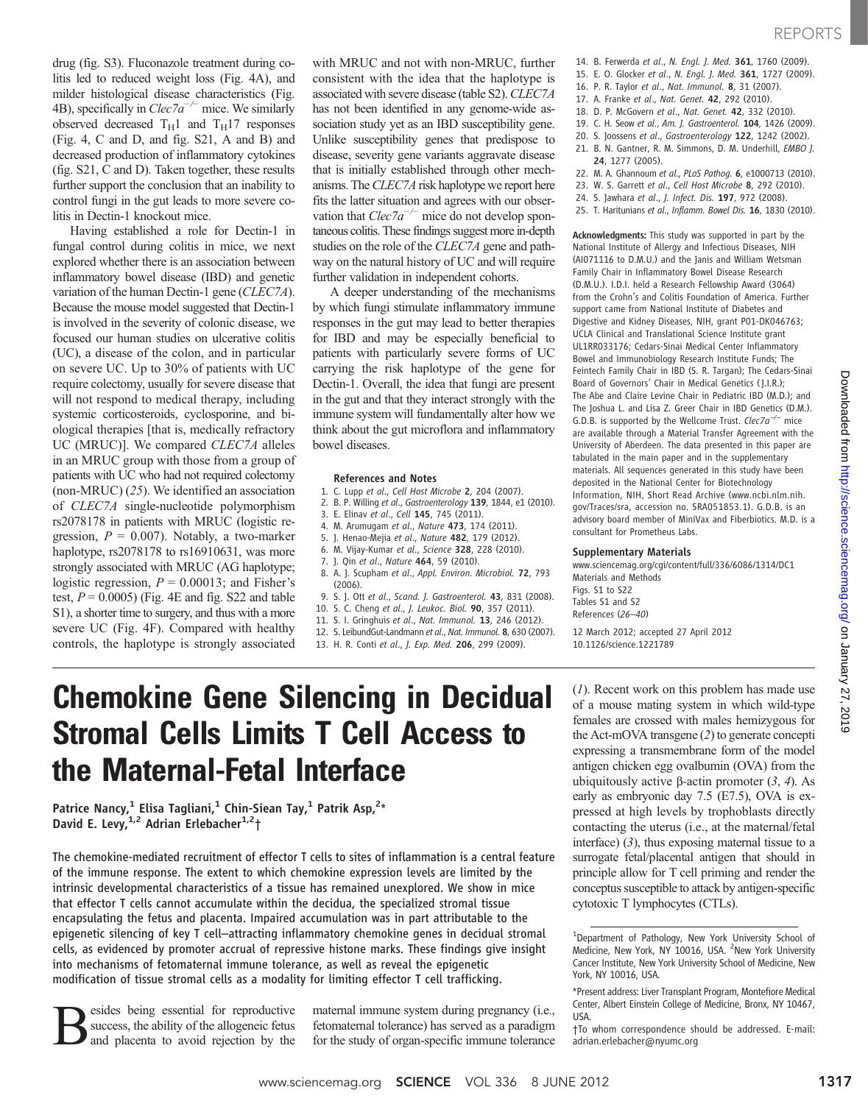Having established a role for Dectin-1 in fungal control during colitis in mice, we next explored whether there is an association between inflammatory bowel disease (IBD) and genetic variation of the human Dectin-1 gene (CLEC7A). Because the mouse model suggested that Dectin-1 is involved in the severity of colonic disease, we focused our human studies on ulcerative colitis (UC), a disease of the colon, and in particular on severe UC. Up to 30% of patients with UC require colectomy, usually for severe disease that will not respond to medical therapy, including systemic corticosteroids, cyclosporine, and biological therapies [that is, medically refractory UC (MRUC)]. We compared CLEC7A alleles in an MRUC group with those from a group of patients with UC who had not required colectomy (non-MRUC) (25). We identified an association of CLEC7A single-nucleotide polymorphism rs2078178 in patients with MRUC (logistic regression,  $P = 0.007$ ). Notably, a two-marker haplotype, rs2078178 to rs16910631, was more strongly associated with MRUC (AG haplotype; logistic regression,  $P = 0.00013$ ; and Fisher's test,  $P = 0.0005$ ) (Fig. 4E and fig. S22 and table S1), a shorter time to surgery, and thus with a more severe UC (Fig. 4F). Compared with healthy controls, the haplotype is strongly associated with MRUC and not with non-MRUC, further consistent with the idea that the haplotype is associated with severe disease (table S2). CLEC7A has not been identified in any genome-wide association study yet as an IBD susceptibility gene. Unlike susceptibility genes that predispose to disease, severity gene variants aggravate disease that is initially established through other mechanisms. The CLEC7A risk haplotype we report here fits the latter situation and agrees with our observation that  $Clec7a^{-/-}$  mice do not develop spontaneous colitis. These findings suggest more in-depth studies on the role of the CLEC7A gene and pathway on the natural history of UC and will require further validation in independent cohorts.

A deeper understanding of the mechanisms by which fungi stimulate inflammatory immune responses in the gut may lead to better therapies for IBD and may be especially beneficial to patients with particularly severe forms of UC carrying the risk haplotype of the gene for Dectin-1. Overall, the idea that fungi are present in the gut and that they interact strongly with the immune system will fundamentally alter how we think about the gut microflora and inflammatory bowel diseases.

#### References and Notes

- 1. C. Lupp et al., Cell Host Microbe 2, 204 (2007).
- 2. B. P. Willing et al., Gastroenterology 139, 1844, e1 (2010).
- 3. E. Elinav et al., Cell 145, 745 (2011).
- 4. M. Arumugam et al., Nature 473, 174 (2011). 5. J. Henao-Mejia et al., Nature 482, 179 (2012).
- 6. M. Vijay-Kumar et al., Science 328, 228 (2010).
- 
- 7. J. Qin et al., Nature 464, 59 (2010).
- 8. A. J. Scupham et al., Appl. Environ. Microbiol. 72, 793 (2006).
- 9. S. J. Ott et al., Scand. J. Gastroenterol. 43, 831 (2008).
- 10. S. C. Cheng et al., J. Leukoc. Biol. 90, 357 (2011).
- 11. S. I. Gringhuis et al., Nat. Immunol. 13, 246 (2012).
- 12. S. LeibundGut-Landmann et al., Nat. Immunol. 8, 630 (2007).

13. H. R. Conti et al., J. Exp. Med. 206, 299 (2009).

- 14. B. Ferwerda et al., N. Engl. J. Med. 361, 1760 (2009). 15. E. O. Glocker et al., N. Engl. J. Med. 361, 1727 (2009).
- 16. P. R. Taylor et al., Nat. Immunol. 8, 31 (2007).
- 17. A. Franke et al., Nat. Genet. 42, 292 (2010).
- 18. D. P. McGovern et al., Nat. Genet. 42, 332 (2010).
- 19. C. H. Seow et al., Am. J. Gastroenterol. 104, 1426 (2009).
- 20. S. Joossens et al., Gastroenterology 122, 1242 (2002).
- 21. B. N. Gantner, R. M. Simmons, D. M. Underhill, EMBO J.
	- 24, 1277 (2005).
- 22. M. A. Ghannoum et al., PLoS Pathoq. 6, e1000713 (2010).
- 23. W. S. Garrett et al., Cell Host Microbe 8, 292 (2010).
- 24. S. Jawhara et al., J. Infect. Dis. 197, 972 (2008).
- 25. T. Haritunians et al., Inflamm. Bowel Dis. 16, 1830 (2010).

Acknowledgments: This study was supported in part by the National Institute of Allergy and Infectious Diseases, NIH (AI071116 to D.M.U.) and the Janis and William Wetsman Family Chair in Inflammatory Bowel Disease Research (D.M.U.). I.D.I. held a Research Fellowship Award (3064) from the Crohn's and Colitis Foundation of America. Further support came from National Institute of Diabetes and Digestive and Kidney Diseases, NIH, grant P01-DK046763; UCLA Clinical and Translational Science Institute grant UL1RR033176; Cedars-Sinai Medical Center Inflammatory Bowel and Immunobiology Research Institute Funds; The Feintech Family Chair in IBD (S. R. Targan); The Cedars-Sinai Board of Governors' Chair in Medical Genetics ( J.I.R.); The Abe and Claire Levine Chair in Pediatric IBD (M.D.); and The Joshua L. and Lisa Z. Greer Chair in IBD Genetics (D.M.). G.D.B. is supported by the Wellcome Trust. Clec7a<sup>-/-</sup> mice are available through a Material Transfer Agreement with the University of Aberdeen. The data presented in this paper are tabulated in the main paper and in the supplementary materials. All sequences generated in this study have been deposited in the National Center for Biotechnology Information, NIH, Short Read Archive (www.ncbi.nlm.nih. gov/Traces/sra, accession no. SRA051853.1). G.D.B. is an advisory board member of MiniVax and Fiberbiotics. M.D. is a consultant for Prometheus Labs.

## Supplementary Materials

www.sciencemag.org/cgi/content/full/336/6086/1314/DC1 Materials and Methods Figs. S1 to S22 Tables S1 and S2 References (26–40)

12 March 2012; accepted 27 April 2012 10.1126/science.1221789

## Chemokine Gene Silencing in Decidual Stromal Cells Limits T Cell Access to the Maternal-Fetal Interface

Patrice Nancy,<sup>1</sup> Elisa Tagliani,<sup>1</sup> Chin-Siean Tay,<sup>1</sup> Patrik Asp,<sup>2</sup>\* David E. Levy,  $1,2$  Adrian Erlebacher $1,2$ †

The chemokine-mediated recruitment of effector T cells to sites of inflammation is a central feature of the immune response. The extent to which chemokine expression levels are limited by the intrinsic developmental characteristics of a tissue has remained unexplored. We show in mice that effector T cells cannot accumulate within the decidua, the specialized stromal tissue encapsulating the fetus and placenta. Impaired accumulation was in part attributable to the epigenetic silencing of key T cell–attracting inflammatory chemokine genes in decidual stromal cells, as evidenced by promoter accrual of repressive histone marks. These findings give insight into mechanisms of fetomaternal immune tolerance, as well as reveal the epigenetic modification of tissue stromal cells as a modality for limiting effector T cell trafficking.

esides being essential for reproductive success, the ability of the allogeneic fetus and placenta to avoid rejection by the

maternal immune system during pregnancy (i.e., fetomaternal tolerance) has served as a paradigm for the study of organ-specific immune tolerance

 $(1)$ . Recent work on this problem has made use of a mouse mating system in which wild-type females are crossed with males hemizygous for the Act-mOVA transgene (2) to generate concepti expressing a transmembrane form of the model antigen chicken egg ovalbumin (OVA) from the ubiquitously active  $\beta$ -actin promoter (3, 4). As early as embryonic day 7.5 (E7.5), OVA is expressed at high levels by trophoblasts directly contacting the uterus (i.e., at the maternal/fetal interface)  $(3)$ , thus exposing maternal tissue to a surrogate fetal/placental antigen that should in principle allow for T cell priming and render the conceptus susceptible to attack by antigen-specific cytotoxic T lymphocytes (CTLs).

<sup>&</sup>lt;sup>1</sup>Department of Pathology, New York University School of Medicine, New York, NY 10016, USA. <sup>2</sup>New York University Cancer Institute, New York University School of Medicine, New York, NY 10016, USA.

<sup>\*</sup>Present address: Liver Transplant Program, Montefiore Medical Center, Albert Einstein College of Medicine, Bronx, NY 10467, USA.

<sup>†</sup>To whom correspondence should be addressed. E-mail: adrian.erlebacher@nyumc.org